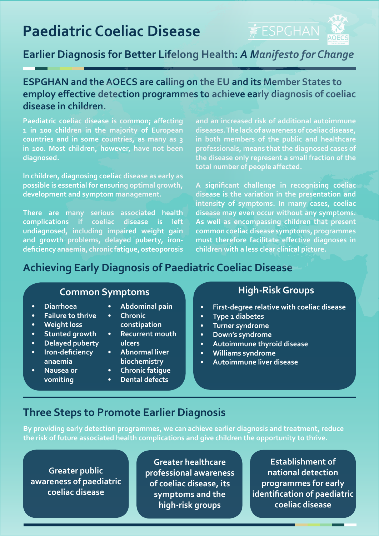# **Paediatric Coeliac Disease**



## **Earlier Diagnosis for Better Lifelong Health:** *A Manifesto for Change*

#### **ESPGHAN and the AOECS are calling on the EU and its Member States to employ effective detection programmes to achieve early diagnosis of coeliac disease in children.**

**Paediatric coeliac disease is common; affecting 1 in 100 children in the majority of European countries and in some countries, as many as 3 in 100. Most children, however, have not been diagnosed.**

**In children, diagnosing coeliac disease as early as possible is essential for ensuring optimal growth, development and symptom management.**

**There are many serious associated health complications if coeliac disease is left undiagnosed, including impaired weight gain and growth problems, delayed puberty, irondeficiency anaemia, chronic fatigue, osteoporosis** 

**and an increased risk of additional autoimmune diseases. The lack of awareness of coeliac disease, in both members of the public and healthcare professionals, means that the diagnosed cases of the disease only represent a small fraction of the total number of people affected.**

**A significant challenge in recognising coeliac disease is the variation in the presentation and intensity of symptoms. In many cases, coeliac disease may even occur without any symptoms. As well as encompassing children that present common coeliac disease symptoms, programmes must therefore facilitate effective diagnoses in children with a less clear clinical picture.**

### **Achieving Early Diagnosis of Paediatric Coeliac Disease**

### **Common Symptoms Common Symptoms**

- **• Diarrhoea**
- **• Failure to thrive**
- **• Weight loss**
- **• Stunted growth**
- **• Delayed puberty**
- **• Iron-deficiency anaemia**
- **• Nausea or vomiting**
- **• Abdominal pain**
- **• Chronic constipation**
- **• Recurrent mouth**
- **ulcers • Abnormal liver**
- **biochemistry**
- **• Chronic fatigue**
- **• Dental defects**

- **• First-degree relative with coeliac disease**
- **• Type 1 diabetes**
- **• Turner syndrome**
- **• Down's syndrome**
- **• Autoimmune thyroid disease**
- **• Williams syndrome**
- **• Autoimmune liver disease**

#### **Three Steps to Promote Earlier Diagnosis**

**By providing early detection programmes, we can achieve earlier diagnosis and treatment, reduce the risk of future associated health complications and give children the opportunity to thrive.** 

**Greater public awareness of paediatric coeliac disease**

**Greater healthcare professional awareness of coeliac disease, its symptoms and the high-risk groups**

**Establishment of national detection programmes for early identification of paediatric coeliac disease**